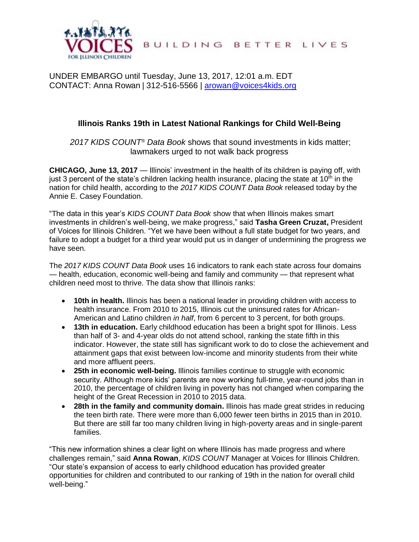

BUILDING BETTER LIVES

UNDER EMBARGO until Tuesday, June 13, 2017, 12:01 a.m. EDT CONTACT: Anna Rowan | 312-516-5566 | [arowan@voices4kids.org](mailto:arowan@voices4kids.org)

## **Illinois Ranks 19th in Latest National Rankings for Child Well-Being**

*2017 KIDS COUNT® Data Book* shows that sound investments in kids matter; lawmakers urged to not walk back progress

**CHICAGO, June 13, 2017** — Illinois' investment in the health of its children is paying off, with just 3 percent of the state's children lacking health insurance, placing the state at  $10<sup>th</sup>$  in the nation for child health, according to the *2017 KIDS COUNT Data Book* released today by the Annie E. Casey Foundation.

"The data in this year's *KIDS COUNT Data Book* show that when Illinois makes smart investments in children's well-being, we make progress," said **Tasha Green Cruzat,** President of Voices for Illinois Children. "Yet we have been without a full state budget for two years, and failure to adopt a budget for a third year would put us in danger of undermining the progress we have seen.

The *2017 KIDS COUNT Data Book* uses 16 indicators to rank each state across four domains — health, education, economic well-being and family and community — that represent what children need most to thrive. The data show that Illinois ranks:

- **10th in health.** Illinois has been a national leader in providing children with access to health insurance. From 2010 to 2015, Illinois cut the uninsured rates for African-American and Latino children *in half*, from 6 percent to 3 percent, for both groups.
- **13th in education.** Early childhood education has been a bright spot for Illinois. Less than half of 3- and 4-year olds do not attend school, ranking the state fifth in this indicator. However, the state still has significant work to do to close the achievement and attainment gaps that exist between low-income and minority students from their white and more affluent peers.
- **25th in economic well-being.** Illinois families continue to struggle with economic security. Although more kids' parents are now working full-time, year-round jobs than in 2010, the percentage of children living in poverty has not changed when comparing the height of the Great Recession in 2010 to 2015 data.
- **28th in the family and community domain.** Illinois has made great strides in reducing the teen birth rate. There were more than 6,000 fewer teen births in 2015 than in 2010. But there are still far too many children living in high-poverty areas and in single-parent families.

"This new information shines a clear light on where Illinois has made progress and where challenges remain," said **Anna Rowan**, *KIDS COUNT* Manager at Voices for Illinois Children. "Our state's expansion of access to early childhood education has provided greater opportunities for children and contributed to our ranking of 19th in the nation for overall child well-being."